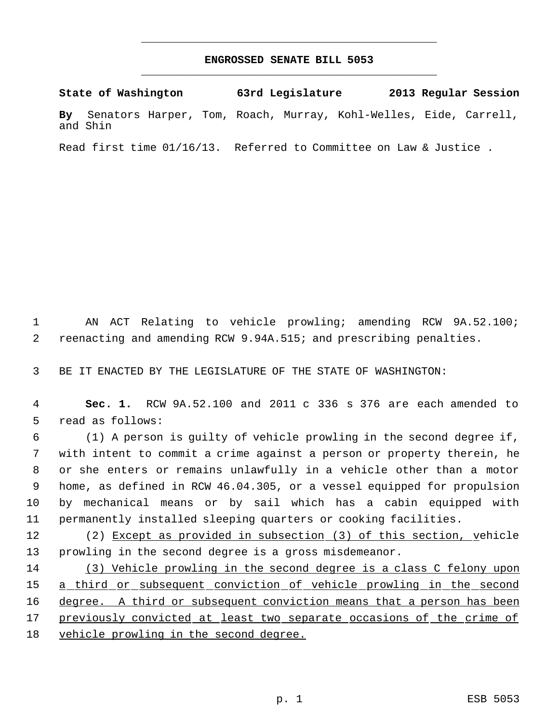## **ENGROSSED SENATE BILL 5053** \_\_\_\_\_\_\_\_\_\_\_\_\_\_\_\_\_\_\_\_\_\_\_\_\_\_\_\_\_\_\_\_\_\_\_\_\_\_\_\_\_\_\_\_\_

\_\_\_\_\_\_\_\_\_\_\_\_\_\_\_\_\_\_\_\_\_\_\_\_\_\_\_\_\_\_\_\_\_\_\_\_\_\_\_\_\_\_\_\_\_

**State of Washington 63rd Legislature 2013 Regular Session By** Senators Harper, Tom, Roach, Murray, Kohl-Welles, Eide, Carrell, and Shin

Read first time 01/16/13. Referred to Committee on Law & Justice .

 1 AN ACT Relating to vehicle prowling; amending RCW 9A.52.100; 2 reenacting and amending RCW 9.94A.515; and prescribing penalties.

3 BE IT ENACTED BY THE LEGISLATURE OF THE STATE OF WASHINGTON:

 4 **Sec. 1.** RCW 9A.52.100 and 2011 c 336 s 376 are each amended to 5 read as follows:

 (1) A person is guilty of vehicle prowling in the second degree if, with intent to commit a crime against a person or property therein, he or she enters or remains unlawfully in a vehicle other than a motor home, as defined in RCW 46.04.305, or a vessel equipped for propulsion by mechanical means or by sail which has a cabin equipped with permanently installed sleeping quarters or cooking facilities.

12 (2) Except as provided in subsection (3) of this section, vehicle 13 prowling in the second degree is a gross misdemeanor.

14 (3) Vehicle prowling in the second degree is a class C felony upon 15 a third or subsequent conviction of vehicle prowling in the second 16 degree. A third or subsequent conviction means that a person has been 17 previously convicted at least two separate occasions of the crime of 18 vehicle prowling in the second degree.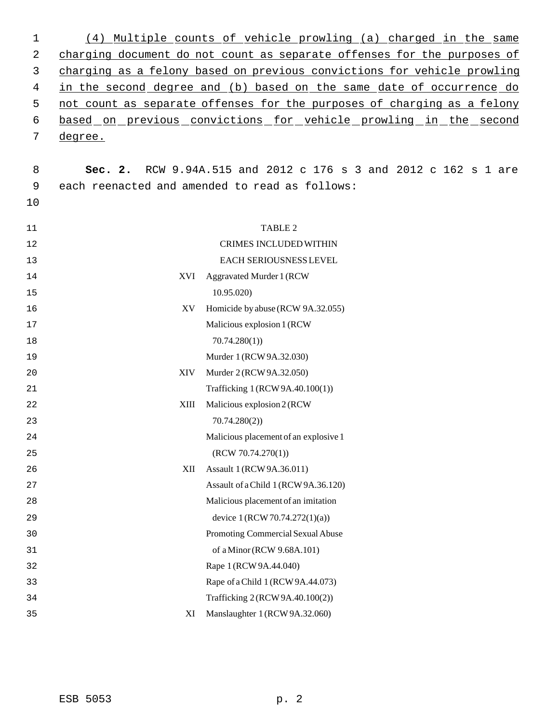| 1  | (4)     | Multiple counts of yehicle prowling (a) charged in the same                 |
|----|---------|-----------------------------------------------------------------------------|
| 2  |         | charging document do not count as separate offenses for the purposes of     |
| 3  |         | charging as a felony based on previous convictions for vehicle prowling     |
| 4  |         | in the second degree and (b) based on the same date of occurrence do        |
| 5  |         | not count as separate offenses for the purposes of charging as a felony     |
| 6  |         | based on previous convictions for vehicle prowling in the second            |
| 7  | degree. |                                                                             |
|    |         |                                                                             |
| 8  | Sec. 2. | RCW 9.94A.515 and 2012 c 176 s 3 and 2012 c 162 s 1 are                     |
| 9  |         | each reenacted and amended to read as follows:                              |
| 10 |         |                                                                             |
|    |         |                                                                             |
| 11 |         | TABLE 2                                                                     |
| 12 |         | <b>CRIMES INCLUDED WITHIN</b>                                               |
| 13 |         | EACH SERIOUSNESS LEVEL                                                      |
| 14 | XVI     | <b>Aggravated Murder 1 (RCW</b>                                             |
| 15 |         | 10.95.020                                                                   |
| 16 | XV      | Homicide by abuse (RCW 9A.32.055)                                           |
| 17 |         | Malicious explosion 1 (RCW)                                                 |
| 18 |         | 70.74.280(1)                                                                |
| 19 |         | Murder 1 (RCW 9A.32.030)                                                    |
| 20 | XIV     | Murder 2 (RCW 9A.32.050)                                                    |
| 21 |         | Trafficking 1 (RCW 9A.40.100(1))                                            |
| 22 | XIII    | Malicious explosion 2 (RCW                                                  |
| 23 |         | 70.74.280(2)                                                                |
| 24 |         | Malicious placement of an explosive 1                                       |
| 25 |         | (RCW 70.74.270(1))                                                          |
| 26 | XII     | Assault 1 (RCW 9A.36.011)                                                   |
| 27 |         | Assault of a Child 1 (RCW 9A.36.120)<br>Malicious placement of an imitation |
| 28 |         |                                                                             |
| 29 |         | device $1 (RCW 70.74.272(1)(a))$                                            |
| 30 |         | Promoting Commercial Sexual Abuse                                           |
| 31 |         | of a Minor (RCW 9.68A.101)                                                  |
| 32 |         | Rape 1 (RCW 9A.44.040)                                                      |
| 33 |         | Rape of a Child 1 (RCW 9A.44.073)                                           |
| 34 |         | Trafficking 2 (RCW 9A.40.100(2))                                            |
| 35 | XI      | Manslaughter 1 (RCW 9A.32.060)                                              |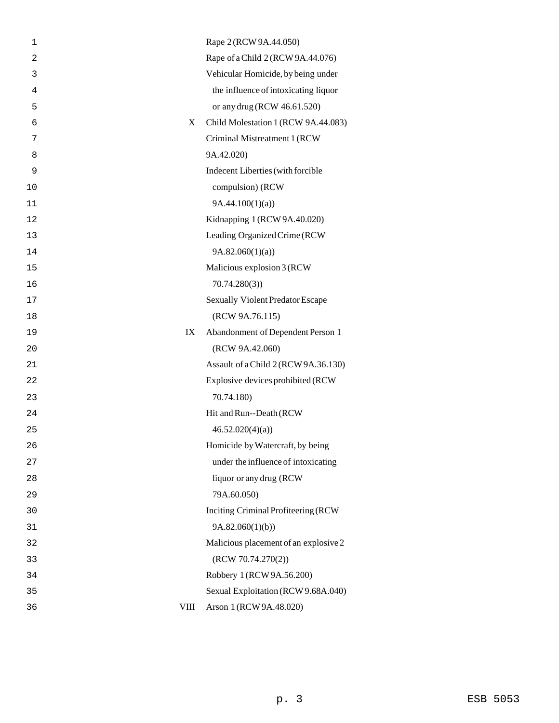| 1              |             | Rape 2 (RCW 9A.44.050)                |
|----------------|-------------|---------------------------------------|
| $\overline{2}$ |             | Rape of a Child 2 (RCW 9A.44.076)     |
| 3              |             | Vehicular Homicide, by being under    |
| 4              |             | the influence of intoxicating liquor  |
| 5              |             | or any drug (RCW 46.61.520)           |
| 6              | X           | Child Molestation 1 (RCW 9A.44.083)   |
| 7              |             | Criminal Mistreatment 1 (RCW          |
| 8              |             | 9A.42.020)                            |
| 9              |             | Indecent Liberties (with forcible     |
| 10             |             | compulsion) (RCW                      |
| 11             |             | 9A.44.100(1)(a)                       |
| 12             |             | Kidnapping 1 (RCW 9A.40.020)          |
| 13             |             | Leading Organized Crime (RCW          |
| 14             |             | 9A.82.060(1)(a)                       |
| 15             |             | Malicious explosion 3 (RCW            |
| 16             |             | 70.74.280(3)                          |
| 17             |             | Sexually Violent Predator Escape      |
| 18             |             | (RCW 9A.76.115)                       |
| 19             | IX          | Abandonment of Dependent Person 1     |
| 20             |             | (RCW 9A.42.060)                       |
| 21             |             | Assault of a Child 2 (RCW 9A.36.130)  |
| 22             |             | Explosive devices prohibited (RCW     |
| 23             |             | 70.74.180)                            |
| 24             |             | Hit and Run--Death (RCW               |
| 25             |             | 46.52.020(4)(a)                       |
| 26             |             | Homicide by Watercraft, by being      |
| 27             |             | under the influence of intoxicating   |
| 28             |             | liquor or any drug (RCW               |
| 29             |             | 79A.60.050)                           |
| 30             |             | Inciting Criminal Profiteering (RCW   |
| 31             |             | 9A.82.060(1)(b)                       |
| 32             |             | Malicious placement of an explosive 2 |
| 33             |             | (RCW 70.74.270(2))                    |
| 34             |             | Robbery 1 (RCW 9A.56.200)             |
| 35             |             | Sexual Exploitation (RCW 9.68A.040)   |
| 36             | <b>VIII</b> | Arson 1 (RCW 9A.48.020)               |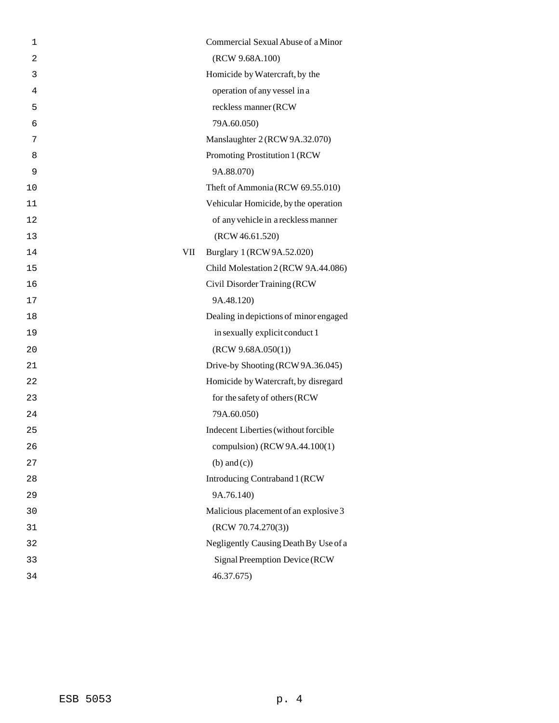| 1              |     | Commercial Sexual Abuse of a Minor     |
|----------------|-----|----------------------------------------|
| $\overline{2}$ |     | (RCW 9.68A.100)                        |
| 3              |     | Homicide by Watercraft, by the         |
| 4              |     | operation of any vessel in a           |
| 5              |     | reckless manner (RCW                   |
| 6              |     | 79A.60.050)                            |
| 7              |     | Manslaughter 2 (RCW 9A.32.070)         |
| 8              |     | Promoting Prostitution 1 (RCW          |
| 9              |     | 9A.88.070)                             |
| 10             |     | Theft of Ammonia (RCW 69.55.010)       |
| 11             |     | Vehicular Homicide, by the operation   |
| 12             |     | of any vehicle in a reckless manner    |
| 13             |     | (RCW 46.61.520)                        |
| 14             | VII | Burglary 1 (RCW 9A.52.020)             |
| 15             |     | Child Molestation 2 (RCW 9A.44.086)    |
| 16             |     | Civil Disorder Training (RCW           |
| 17             |     | 9A.48.120)                             |
| 18             |     | Dealing in depictions of minor engaged |
| 19             |     | in sexually explicit conduct 1         |
| 20             |     | (RCW 9.68A.050(1))                     |
| 21             |     | Drive-by Shooting (RCW 9A.36.045)      |
| 22             |     | Homicide by Watercraft, by disregard   |
| 23             |     | for the safety of others (RCW          |
| 24             |     | 79A.60.050)                            |
| 25             |     | Indecent Liberties (without forcible   |
| 26             |     | compulsion) (RCW 9A.44.100(1)          |
| 27             |     | $(b)$ and $(c)$ )                      |
| 28             |     | Introducing Contraband 1 (RCW          |
| 29             |     | 9A.76.140)                             |
| 30             |     | Malicious placement of an explosive 3  |
| 31             |     | (RCW 70.74.270(3))                     |
| 32             |     | Negligently Causing Death By Use of a  |
| 33             |     | Signal Preemption Device (RCW          |
| 34             |     | 46.37.675)                             |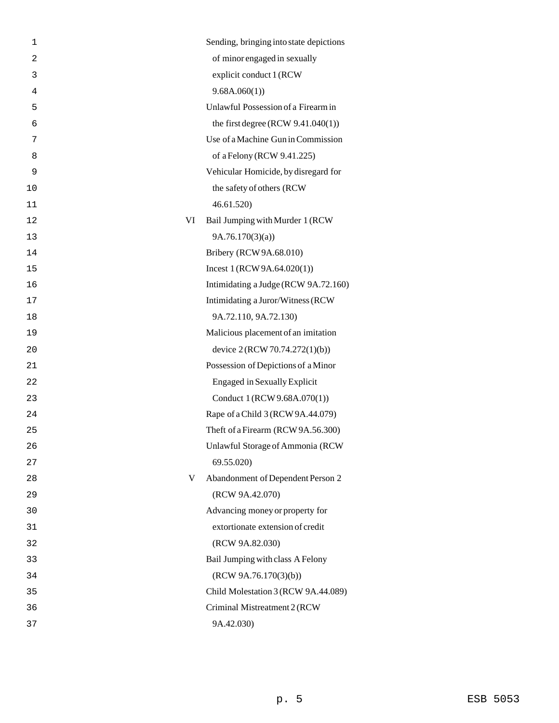| $\mathbf 1$    |    | Sending, bringing into state depictions |
|----------------|----|-----------------------------------------|
| $\overline{c}$ |    | of minor engaged in sexually            |
| 3              |    | explicit conduct 1 (RCW                 |
| 4              |    | 9.68A.060(1)                            |
| 5              |    | Unlawful Possession of a Firearm in     |
| 6              |    | the first degree (RCW $9.41.040(1)$ )   |
| 7              |    | Use of a Machine Gun in Commission      |
| 8              |    | of a Felony (RCW 9.41.225)              |
| 9              |    | Vehicular Homicide, by disregard for    |
| 10             |    | the safety of others (RCW               |
| 11             |    | 46.61.520                               |
| 12             | VI | Bail Jumping with Murder 1 (RCW         |
| 13             |    | 9A.76.170(3)(a)                         |
| 14             |    | Bribery (RCW 9A.68.010)                 |
| 15             |    | Incest $1 (RCW 9A.64.020(1))$           |
| 16             |    | Intimidating a Judge (RCW 9A.72.160)    |
| 17             |    | Intimidating a Juror/Witness (RCW       |
| 18             |    | 9A.72.110, 9A.72.130)                   |
| 19             |    | Malicious placement of an imitation     |
| 20             |    | device 2 (RCW 70.74.272(1)(b))          |
| 21             |    | Possession of Depictions of a Minor     |
| 22             |    | <b>Engaged in Sexually Explicit</b>     |
| 23             |    | Conduct 1 (RCW 9.68A.070(1))            |
| 24             |    | Rape of a Child 3 (RCW 9A.44.079)       |
| 25             |    | Theft of a Firearm (RCW 9A.56.300)      |
| 26             |    | Unlawful Storage of Ammonia (RCW        |
| 27             |    | 69.55.020)                              |
| 28             | V  | Abandonment of Dependent Person 2       |
| 29             |    | (RCW 9A.42.070)                         |
| 30             |    | Advancing money or property for         |
| 31             |    | extortionate extension of credit        |
| 32             |    | (RCW 9A.82.030)                         |
| 33             |    | Bail Jumping with class A Felony        |
| 34             |    | (RCW 9A.76.170(3)(b))                   |
| 35             |    | Child Molestation 3 (RCW 9A.44.089)     |
| 36             |    | Criminal Mistreatment 2 (RCW            |
| 37             |    | 9A.42.030)                              |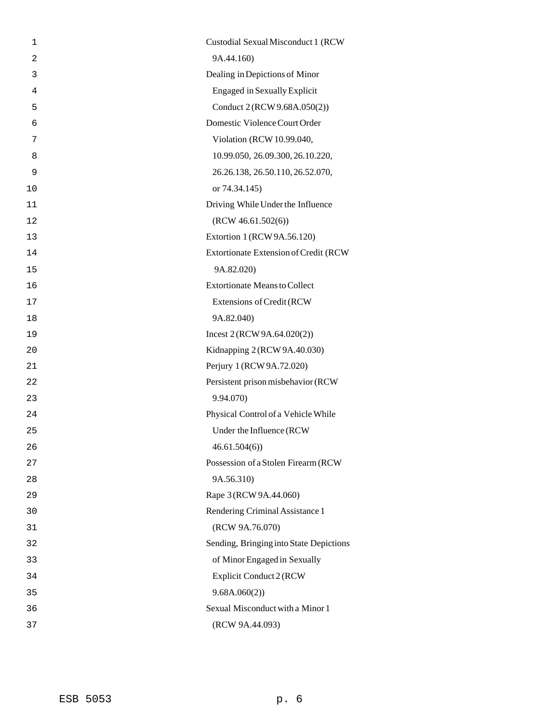| 1              | Custodial Sexual Misconduct 1 (RCW      |
|----------------|-----------------------------------------|
| $\overline{2}$ | 9A.44.160)                              |
| 3              | Dealing in Depictions of Minor          |
| 4              | <b>Engaged in Sexually Explicit</b>     |
| 5              | Conduct 2 (RCW 9.68A.050(2))            |
| 6              | Domestic Violence Court Order           |
| 7              | Violation (RCW 10.99.040,               |
| 8              | 10.99.050, 26.09.300, 26.10.220,        |
| 9              | 26.26.138, 26.50.110, 26.52.070,        |
| 10             | or 74.34.145)                           |
| 11             | Driving While Under the Influence       |
| 12             | (RCW 46.61.502(6))                      |
| 13             | Extortion 1 (RCW 9A.56.120)             |
| 14             | Extortionate Extension of Credit (RCW   |
| 15             | 9A.82.020)                              |
| 16             | <b>Extortionate Means to Collect</b>    |
| 17             | Extensions of Credit (RCW               |
| 18             | 9A.82.040)                              |
| 19             | Incest $2 (RCW 9A.64.020(2))$           |
| 20             | Kidnapping 2 (RCW 9A.40.030)            |
| 21             | Perjury 1 (RCW 9A.72.020)               |
| 22             | Persistent prison misbehavior (RCW      |
| 23             | 9.94.070)                               |
| 24             | Physical Control of a Vehicle While     |
| 25             | Under the Influence (RCW                |
| 26             | 46.61.504(6)                            |
| 27             | Possession of a Stolen Firearm (RCW     |
| 28             | 9A.56.310)                              |
| 29             | Rape 3 (RCW 9A.44.060)                  |
| 30             | Rendering Criminal Assistance 1         |
| 31             | (RCW 9A.76.070)                         |
| 32             | Sending, Bringing into State Depictions |
| 33             | of Minor Engaged in Sexually            |
| 34             | Explicit Conduct 2 (RCW                 |
| 35             | 9.68A.060(2))                           |
| 36             | Sexual Misconduct with a Minor 1        |
| 37             | (RCW 9A.44.093)                         |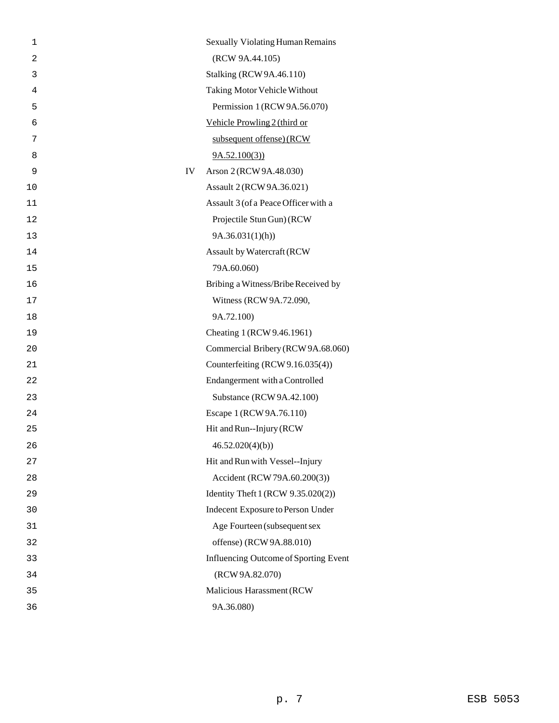| 1  |    | <b>Sexually Violating Human Remains</b> |
|----|----|-----------------------------------------|
| 2  |    | (RCW 9A.44.105)                         |
| 3  |    | Stalking (RCW 9A.46.110)                |
| 4  |    | Taking Motor Vehicle Without            |
| 5  |    | Permission 1 (RCW 9A.56.070)            |
| 6  |    | Vehicle Prowling 2 (third or            |
| 7  |    | subsequent offense) (RCW                |
| 8  |    | 9A.52.100(3)                            |
| 9  | IV | Arson 2 (RCW 9A.48.030)                 |
| 10 |    | Assault 2 (RCW 9A.36.021)               |
| 11 |    | Assault 3 (of a Peace Officer with a    |
| 12 |    | Projectile Stun Gun) (RCW               |
| 13 |    | 9A.36.031(1)(h)                         |
| 14 |    | Assault by Watercraft (RCW              |
| 15 |    | 79A.60.060)                             |
| 16 |    | Bribing a Witness/Bribe Received by     |
| 17 |    | Witness (RCW 9A.72.090,                 |
| 18 |    | 9A.72.100)                              |
| 19 |    | Cheating 1 (RCW 9.46.1961)              |
| 20 |    | Commercial Bribery (RCW 9A.68.060)      |
| 21 |    | Counterfeiting (RCW 9.16.035(4))        |
| 22 |    | Endangerment with a Controlled          |
| 23 |    | Substance (RCW 9A.42.100)               |
| 24 |    | Escape 1 (RCW 9A.76.110)                |
| 25 |    | Hit and Run--Injury (RCW                |
| 26 |    | 46.52.020(4)(b)                         |
| 27 |    | Hit and Run with Vessel--Injury         |
| 28 |    | Accident (RCW 79A.60.200(3))            |
| 29 |    | Identity Theft 1 (RCW 9.35.020(2))      |
| 30 |    | Indecent Exposure to Person Under       |
| 31 |    | Age Fourteen (subsequent sex            |
| 32 |    | offense) (RCW 9A.88.010)                |
| 33 |    | Influencing Outcome of Sporting Event   |
| 34 |    | (RCW 9A.82.070)                         |
| 35 |    | Malicious Harassment (RCW               |
| 36 |    | 9A.36.080)                              |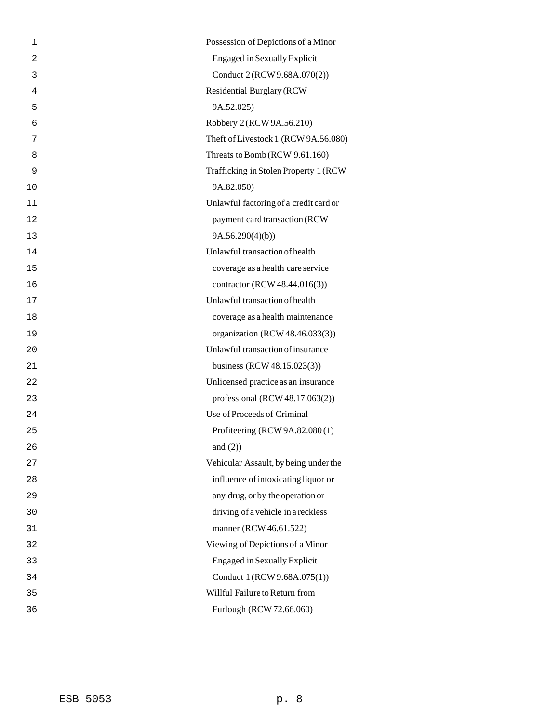| 1  | Possession of Depictions of a Minor    |
|----|----------------------------------------|
| 2  | <b>Engaged in Sexually Explicit</b>    |
| 3  | Conduct 2 (RCW 9.68A.070(2))           |
| 4  | <b>Residential Burglary (RCW)</b>      |
| 5  | 9A.52.025)                             |
| 6  | Robbery 2 (RCW 9A.56.210)              |
| 7  | Theft of Livestock 1 (RCW 9A.56.080)   |
| 8  | Threats to Bomb (RCW 9.61.160)         |
| 9  | Trafficking in Stolen Property 1 (RCW  |
| 10 | 9A.82.050)                             |
| 11 | Unlawful factoring of a credit card or |
| 12 | payment card transaction (RCW          |
| 13 | 9A.56.290(4)(b)                        |
| 14 | Unlawful transaction of health         |
| 15 | coverage as a health care service      |
| 16 | contractor (RCW 48.44.016(3))          |
| 17 | Unlawful transaction of health         |
| 18 | coverage as a health maintenance       |
| 19 | organization (RCW 48.46.033(3))        |
| 20 | Unlawful transaction of insurance      |
| 21 | business (RCW 48.15.023(3))            |
| 22 | Unlicensed practice as an insurance    |
| 23 | professional (RCW $48.17.063(2)$ )     |
| 24 | Use of Proceeds of Criminal            |
| 25 | Profiteering (RCW 9A.82.080(1)         |
| 26 | and $(2)$ )                            |
| 27 | Vehicular Assault, by being under the  |
| 28 | influence of intoxicating liquor or    |
| 29 | any drug, or by the operation or       |
| 30 | driving of a vehicle in a reckless     |
| 31 | manner (RCW 46.61.522)                 |
| 32 | Viewing of Depictions of a Minor       |
| 33 | <b>Engaged in Sexually Explicit</b>    |
| 34 | Conduct 1 (RCW 9.68A.075(1))           |
| 35 | Willful Failure to Return from         |
|    |                                        |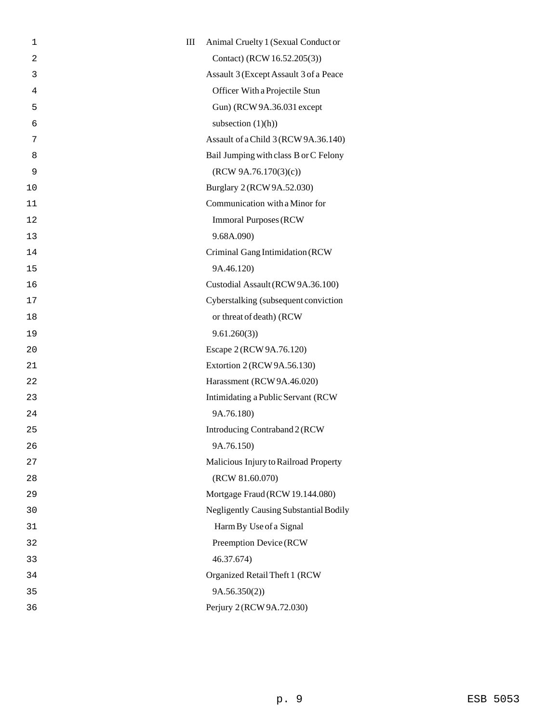| 1              | $\rm III$ | Animal Cruelty 1 (Sexual Conduct or           |
|----------------|-----------|-----------------------------------------------|
| $\overline{2}$ |           | Contact) (RCW 16.52.205(3))                   |
| 3              |           | Assault 3 (Except Assault 3 of a Peace        |
| 4              |           | Officer With a Projectile Stun                |
| 5              |           | Gun) (RCW 9A.36.031 except                    |
| 6              |           | subsection $(1)(h)$ )                         |
| 7              |           | Assault of a Child 3 (RCW 9A.36.140)          |
| 8              |           | Bail Jumping with class B or C Felony         |
| 9              |           | (RCW 9A.76.170(3)(c))                         |
| 10             |           | Burglary 2 (RCW 9A.52.030)                    |
| 11             |           | Communication with a Minor for                |
| 12             |           | <b>Immoral Purposes (RCW)</b>                 |
| 13             |           | 9.68A.090)                                    |
| 14             |           | Criminal Gang Intimidation (RCW               |
| 15             |           | 9A.46.120)                                    |
| 16             |           | Custodial Assault (RCW 9A.36.100)             |
| 17             |           | Cyberstalking (subsequent conviction          |
| 18             |           | or threat of death) (RCW                      |
| 19             |           | 9.61.260(3)                                   |
| 20             |           | Escape 2 (RCW 9A.76.120)                      |
| 21             |           | Extortion 2 (RCW 9A.56.130)                   |
| 22             |           | Harassment (RCW 9A.46.020)                    |
| 23             |           | Intimidating a Public Servant (RCW            |
| 24             |           | 9A.76.180)                                    |
| 25             |           | Introducing Contraband 2 (RCW                 |
| 26             |           | 9A.76.150)                                    |
| 27             |           | Malicious Injury to Railroad Property         |
| 28             |           | (RCW 81.60.070)                               |
| 29             |           | Mortgage Fraud (RCW 19.144.080)               |
| 30             |           | <b>Negligently Causing Substantial Bodily</b> |
| 31             |           | Harm By Use of a Signal                       |
| 32             |           | Preemption Device (RCW                        |
| 33             |           | 46.37.674)                                    |
| 34             |           | Organized Retail Theft 1 (RCW                 |
| 35             |           | 9A.56.350(2)                                  |
| 36             |           | Perjury 2 (RCW 9A.72.030)                     |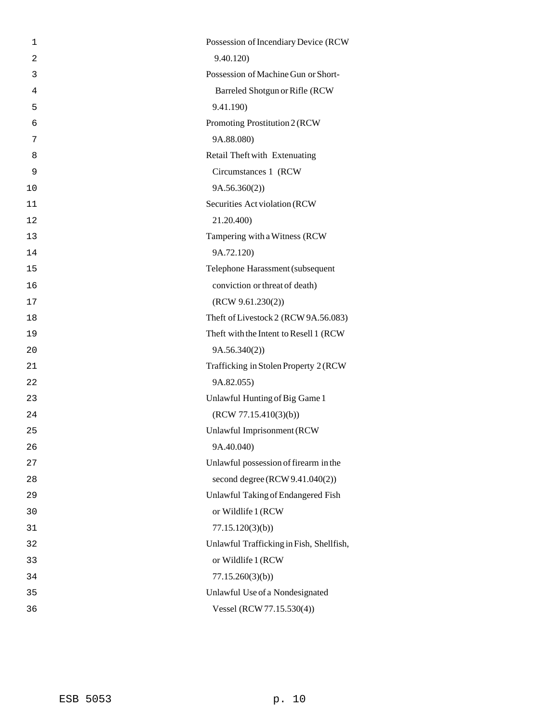| $\mathbf{1}$   | Possession of Incendiary Device (RCW     |
|----------------|------------------------------------------|
| $\overline{2}$ | 9.40.120)                                |
| 3              | Possession of Machine Gun or Short-      |
| 4              | Barreled Shotgun or Rifle (RCW           |
| 5              | 9.41.190)                                |
| 6              | Promoting Prostitution 2 (RCW            |
| 7              | 9A.88.080)                               |
| 8              | Retail Theft with Extenuating            |
| 9              | Circumstances 1 (RCW                     |
| 10             | 9A.56.360(2)                             |
| 11             | Securities Act violation (RCW            |
| 12             | 21.20.400)                               |
| 13             | Tampering with a Witness (RCW            |
| 14             | 9A.72.120)                               |
| 15             | Telephone Harassment (subsequent         |
| 16             | conviction or threat of death)           |
| 17             | (RCW 9.61.230(2))                        |
| 18             | Theft of Livestock 2 (RCW 9A.56.083)     |
| 19             | Theft with the Intent to Resell 1 (RCW   |
| 20             | 9A.56.340(2)                             |
| 21             | Trafficking in Stolen Property 2 (RCW    |
| 22             | 9A.82.055)                               |
| 23             | Unlawful Hunting of Big Game 1           |
| 24             | (RCW 77.15.410(3)(b))                    |
| 25             | Unlawful Imprisonment (RCW               |
| 26             | 9A.40.040)                               |
| 27             | Unlawful possession of firearm in the    |
| 28             | second degree $(RCW 9.41.040(2))$        |
| 29             | Unlawful Taking of Endangered Fish       |
| 30             | or Wildlife 1 (RCW                       |
| 31             | 77.15.120(3)(b)                          |
| 32             | Unlawful Trafficking in Fish, Shellfish, |
| 33             | or Wildlife 1 (RCW                       |
| 34             | 77.15.260(3)(b)                          |
| 35             | Unlawful Use of a Nondesignated          |
| 36             | Vessel (RCW 77.15.530(4))                |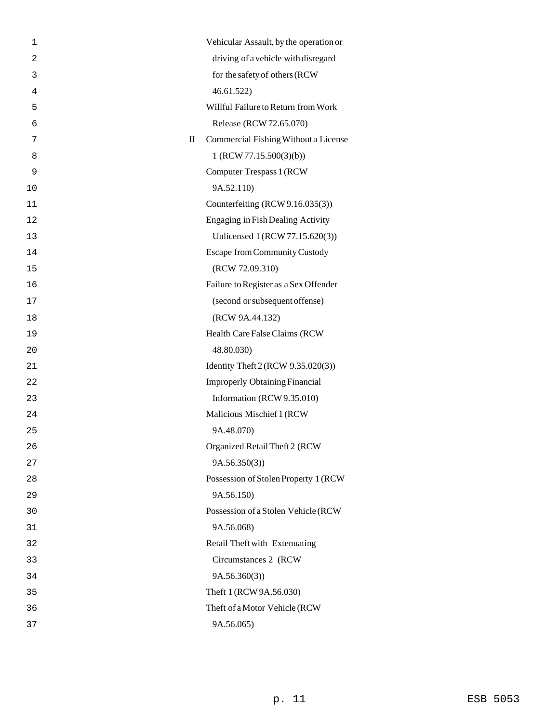| 1              |              | Vehicular Assault, by the operation or |
|----------------|--------------|----------------------------------------|
| $\overline{c}$ |              | driving of a vehicle with disregard    |
| 3              |              | for the safety of others (RCW          |
| 4              |              | 46.61.522                              |
| 5              |              | Willful Failure to Return from Work    |
| 6              |              | Release (RCW 72.65.070)                |
| 7              | $\mathbf{I}$ | Commercial Fishing Without a License   |
| 8              |              | 1 (RCW 77.15.500(3)(b))                |
| 9              |              | <b>Computer Trespass 1 (RCW)</b>       |
| 10             |              | 9A.52.110)                             |
| 11             |              | Counterfeiting (RCW 9.16.035(3))       |
| 12             |              | Engaging in Fish Dealing Activity      |
| 13             |              | Unlicensed 1 (RCW 77.15.620(3))        |
| 14             |              | <b>Escape from Community Custody</b>   |
| 15             |              | (RCW 72.09.310)                        |
| 16             |              | Failure to Register as a Sex Offender  |
| 17             |              | (second or subsequent offense)         |
| 18             |              | (RCW 9A.44.132)                        |
| 19             |              | Health Care False Claims (RCW          |
| 20             |              | 48.80.030)                             |
| 21             |              | Identity Theft 2 (RCW 9.35.020(3))     |
| 22             |              | <b>Improperly Obtaining Financial</b>  |
| 23             |              | Information (RCW 9.35.010)             |
| 24             |              | Malicious Mischief 1 (RCW              |
| 25             |              | 9A.48.070)                             |
| 26             |              | Organized Retail Theft 2 (RCW          |
| 27             |              | 9A.56.350(3)                           |
| 28             |              | Possession of Stolen Property 1 (RCW   |
| 29             |              | 9A.56.150)                             |
| 30             |              | Possession of a Stolen Vehicle (RCW    |
| 31             |              | 9A.56.068)                             |
| 32             |              | Retail Theft with Extenuating          |
| 33             |              | Circumstances 2 (RCW                   |
| 34             |              | 9A.56.360(3)                           |
| 35             |              | Theft 1 (RCW 9A.56.030)                |
| 36             |              | Theft of a Motor Vehicle (RCW          |
| 37             |              | 9A.56.065)                             |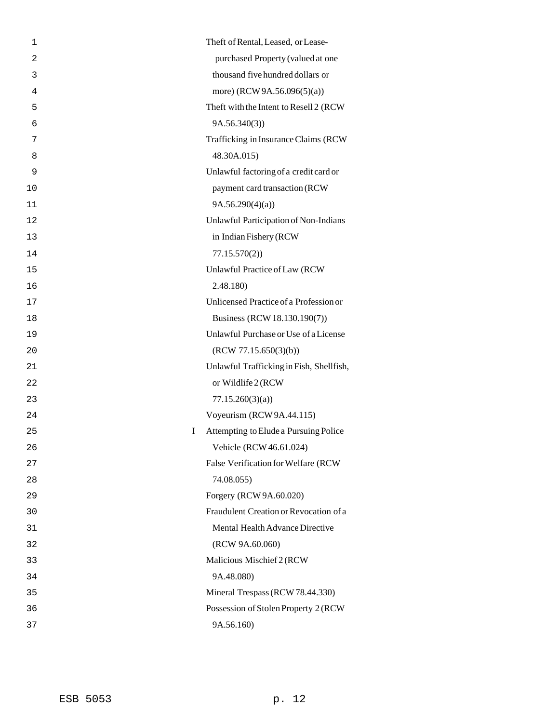| 1              | Theft of Rental, Leased, or Lease-         |
|----------------|--------------------------------------------|
| $\overline{2}$ | purchased Property (valued at one          |
| 3              | thousand five hundred dollars or           |
| 4              | more) (RCW 9A.56.096(5)(a))                |
| 5              | Theft with the Intent to Resell 2 (RCW     |
| 6              | 9A.56.340(3)                               |
| 7              | Trafficking in Insurance Claims (RCW       |
| 8              | 48.30A.015)                                |
| 9              | Unlawful factoring of a credit card or     |
| 10             | payment card transaction (RCW              |
| 11             | 9A.56.290(4)(a)                            |
| 12             | Unlawful Participation of Non-Indians      |
| 13             | in Indian Fishery (RCW                     |
| 14             | 77.15.570(2)                               |
| 15             | Unlawful Practice of Law (RCW              |
| 16             | 2.48.180)                                  |
| 17             | Unlicensed Practice of a Profession or     |
| 18             | Business (RCW 18.130.190(7))               |
| 19             | Unlawful Purchase or Use of a License      |
| 20             | (RCW 77.15.650(3)(b))                      |
| 21             | Unlawful Trafficking in Fish, Shellfish,   |
| 22             | or Wildlife 2 (RCW                         |
| 23             | 77.15.260(3)(a)                            |
| 24             | Voyeurism (RCW 9A.44.115)                  |
| 25             | Attempting to Elude a Pursuing Police<br>I |
| 26             | Vehicle (RCW 46.61.024)                    |
| 27             | False Verification for Welfare (RCW        |
| 28             | 74.08.055)                                 |
| 29             | Forgery (RCW 9A.60.020)                    |
| 30             | Fraudulent Creation or Revocation of a     |
| 31             | Mental Health Advance Directive            |
| 32             | (RCW 9A.60.060)                            |
| 33             | Malicious Mischief 2 (RCW                  |
| 34             | 9A.48.080)                                 |
| 35             | Mineral Trespass (RCW 78.44.330)           |
| 36             | Possession of Stolen Property 2 (RCW       |
| 37             | 9A.56.160)                                 |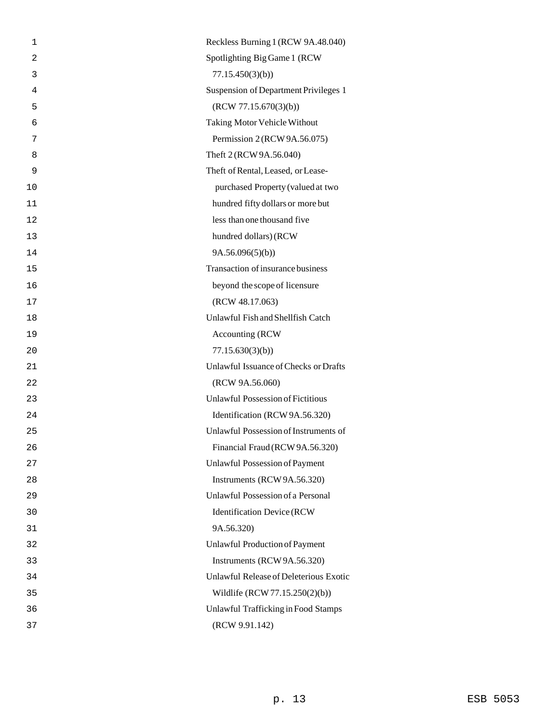| 1  | Reckless Burning 1 (RCW 9A.48.040)       |
|----|------------------------------------------|
| 2  | Spotlighting Big Game 1 (RCW             |
| 3  | 77.15.450(3)(b)                          |
| 4  | Suspension of Department Privileges 1    |
| 5  | (RCW 77.15.670(3)(b))                    |
| 6  | <b>Taking Motor Vehicle Without</b>      |
| 7  | Permission 2 (RCW 9A.56.075)             |
| 8  | Theft 2 (RCW 9A.56.040)                  |
| 9  | Theft of Rental, Leased, or Lease-       |
| 10 | purchased Property (valued at two        |
| 11 | hundred fifty dollars or more but        |
| 12 | less than one thousand five              |
| 13 | hundred dollars) (RCW                    |
| 14 | 9A.56.096(5)(b)                          |
| 15 | Transaction of insurance business        |
| 16 | beyond the scope of licensure            |
| 17 | (RCW 48.17.063)                          |
| 18 | Unlawful Fish and Shellfish Catch        |
| 19 | Accounting (RCW)                         |
| 20 | 77.15.630(3)(b)                          |
| 21 | Unlawful Issuance of Checks or Drafts    |
| 22 | (RCW 9A.56.060)                          |
| 23 | <b>Unlawful Possession of Fictitious</b> |
| 24 | Identification (RCW 9A.56.320)           |
| 25 | Unlawful Possession of Instruments of    |
| 26 | Financial Fraud (RCW 9A.56.320)          |
| 27 | <b>Unlawful Possession of Payment</b>    |
| 28 | Instruments (RCW 9A.56.320)              |
| 29 | Unlawful Possession of a Personal        |
| 30 | <b>Identification Device (RCW</b>        |
| 31 | 9A.56.320)                               |
| 32 | Unlawful Production of Payment           |
| 33 | Instruments (RCW 9A.56.320)              |
| 34 | Unlawful Release of Deleterious Exotic   |
| 35 | Wildlife (RCW 77.15.250(2)(b))           |
| 36 | Unlawful Trafficking in Food Stamps      |
| 37 | (RCW 9.91.142)                           |